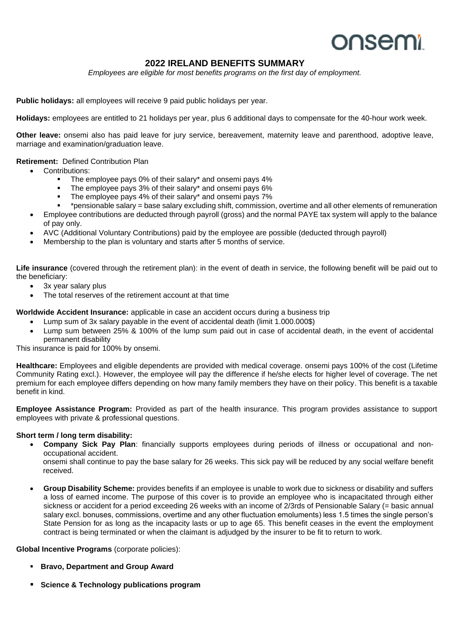# **onsemi**

# **2022 IRELAND BENEFITS SUMMARY**

*Employees are eligible for most benefits programs on the first day of employment.*

**Public holidays:** all employees will receive 9 paid public holidays per year.

**Holidays:** employees are entitled to 21 holidays per year, plus 6 additional days to compensate for the 40-hour work week.

**Other leave:** onsemi also has paid leave for jury service, bereavement, maternity leave and parenthood, adoptive leave, marriage and examination/graduation leave.

## **Retirement:** Defined Contribution Plan

- Contributions:
	- **The employee pays 0% of their salary\* and onsemi pays 4%**<br>**Example use 28% of their salary\* and onsemi pays 6%**
	- The employee pays 3% of their salary\* and onsemi pays 6%
	- The employee pays 4% of their salary\* and onsemi pays 7%
	- \*pensionable salary = base salary excluding shift, commission, overtime and all other elements of remuneration
- Employee contributions are deducted through payroll (gross) and the normal PAYE tax system will apply to the balance of pay only.
- AVC (Additional Voluntary Contributions) paid by the employee are possible (deducted through payroll)
- Membership to the plan is voluntary and starts after 5 months of service.

**Life insurance** (covered through the retirement plan): in the event of death in service, the following benefit will be paid out to the beneficiary:

- 3x year salary plus
- The total reserves of the retirement account at that time

**Worldwide Accident Insurance:** applicable in case an accident occurs during a business trip

- Lump sum of 3x salary payable in the event of accidental death (limit 1.000.000\$)
- Lump sum between 25% & 100% of the lump sum paid out in case of accidental death, in the event of accidental permanent disability

This insurance is paid for 100% by onsemi.

**Healthcare:** Employees and eligible dependents are provided with medical coverage. onsemi pays 100% of the cost (Lifetime Community Rating excl.). However, the employee will pay the difference if he/she elects for higher level of coverage. The net premium for each employee differs depending on how many family members they have on their policy. This benefit is a taxable benefit in kind.

**Employee Assistance Program:** Provided as part of the health insurance. This program provides assistance to support employees with private & professional questions.

# **Short term / long term disability:**

• **Company Sick Pay Plan**: financially supports employees during periods of illness or occupational and nonoccupational accident.

onsemi shall continue to pay the base salary for 26 weeks. This sick pay will be reduced by any social welfare benefit received.

• **Group Disability Scheme:** provides benefits if an employee is unable to work due to sickness or disability and suffers a loss of earned income. The purpose of this cover is to provide an employee who is incapacitated through either sickness or accident for a period exceeding 26 weeks with an income of 2/3rds of Pensionable Salary (= basic annual salary excl. bonuses, commissions, overtime and any other fluctuation emoluments) less 1.5 times the single person's State Pension for as long as the incapacity lasts or up to age 65. This benefit ceases in the event the employment contract is being terminated or when the claimant is adjudged by the insurer to be fit to return to work.

**Global Incentive Programs** (corporate policies):

- **Bravo, Department and Group Award**
- **Science & Technology publications program**